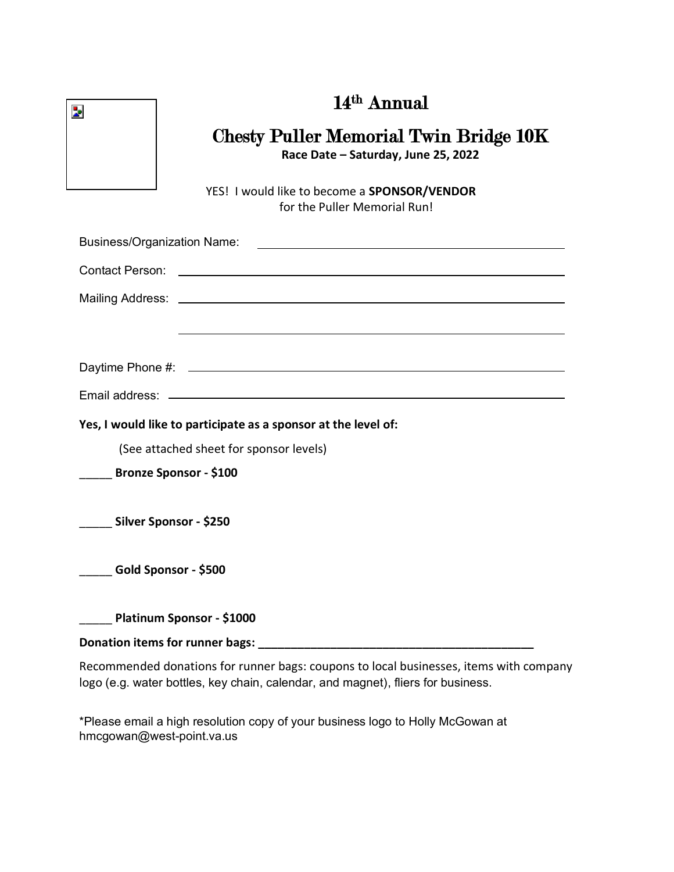|  | 14 <sup>th</sup> Annual |
|--|-------------------------|
|--|-------------------------|



#### Chesty Puller Memorial Twin Bridge 10K **Race Date – Saturday, June 25, 2022**

 YES! I would like to become a **SPONSOR/VENDOR** for the Puller Memorial Run!

| Yes, I would like to participate as a sponsor at the level of: |
|----------------------------------------------------------------|
| (See attached sheet for sponsor levels)                        |
| Bronze Sponsor - \$100                                         |
| Silver Sponsor - \$250                                         |
| Gold Sponsor - \$500                                           |
| Platinum Sponsor - \$1000                                      |
| Donation items for runner bags:                                |

Recommended donations for runner bags: coupons to local businesses, items with company logo (e.g. water bottles, key chain, calendar, and magnet), fliers for business.

\*Please email a high resolution copy of your business logo to Holly McGowan at hmcgowan@west-point.va.us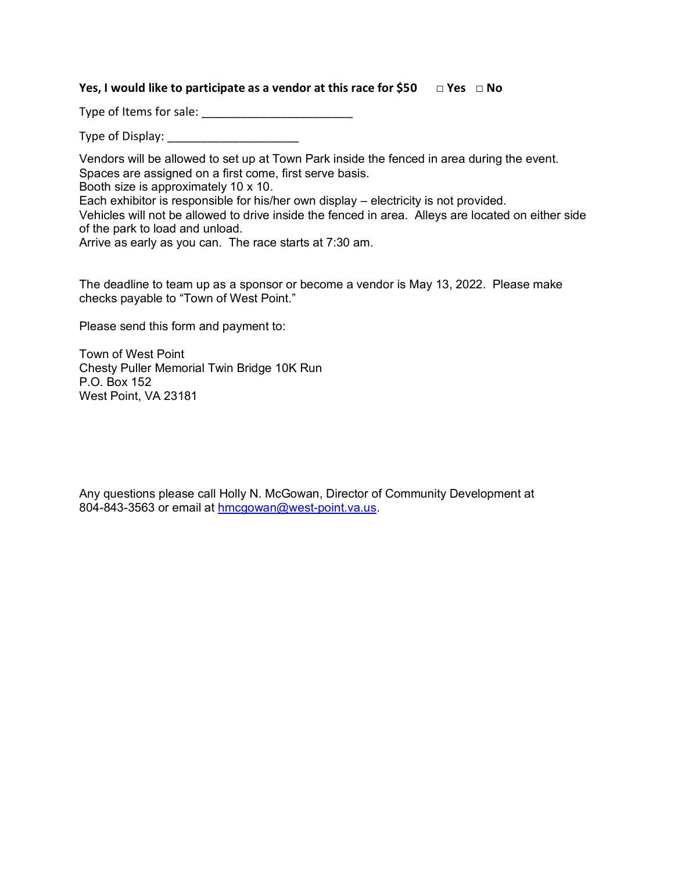#### **Yes, I would like to participate as a vendor at this race for \$50 □ Yes □ No**

Type of Items for sale: \_\_\_\_\_\_\_\_\_\_\_\_\_\_\_\_\_\_\_\_\_\_\_

Type of Display: **Example 20** 

Vendors will be allowed to set up at Town Park inside the fenced in area during the event. Spaces are assigned on a first come, first serve basis.

Booth size is approximately 10 x 10.

Each exhibitor is responsible for his/her own display – electricity is not provided.

Vehicles will not be allowed to drive inside the fenced in area. Alleys are located on either side of the park to load and unload.

Arrive as early as you can. The race starts at 7:30 am.

The deadline to team up as a sponsor or become a vendor is May 13, 2022. Please make checks payable to "Town of West Point."

Please send this form and payment to:

Town of West Point Chesty Puller Memorial Twin Bridge 10K Run P.O. Box 152 West Point, VA 23181

Any questions please call Holly N. McGowan, Director of Community Development at 804-843-3563 or email at [hmcgowan@west-point.va.us.](mailto:hmcgowan@west-point.va.us)